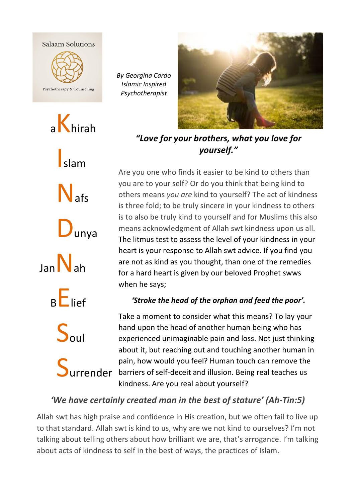



*By Georgina Cardo Islamic Inspired Psychotherapist*



*"Love for your brothers, what you love for yourself."*

Are you one who finds it easier to be kind to others than you are to your self? Or do you think that being kind to others means you are kind to yourself? The act of kindness is three fold; to be truly sincere in your kindness to others is to also be truly kind to yourself and for Muslims this also means acknowledgment of Allah swt kindness upon us all. The litmus test to assess the level of your kindness in your heart is your response to Allah swt advice. If you find you are not as kind as you thought, than one of the remedies for a hard heart is given by our beloved Prophet swws when he says;

## *'Stroke the head of the orphan and feed the poor'.*

Take a moment to consider what this means? To lay your hand upon the head of another human being who has experienced unimaginable pain and loss. Not just thinking about it, but reaching out and touching another human in pain, how would you feel? Human touch can remove the barriers of self-deceit and illusion. Being real teaches us kindness. Are you real about yourself?

## *'We have certainly created man in the best of stature'* (Ah-Tin:5)

Allah swt has high praise and confidence in His creation, but we often fail to live up to that standard. Allah swt is kind to us, why are we not kind to ourselves? I'm not talking about telling others about how brilliant we are, that's arrogance. I'm talking about acts of kindness to self in the best of ways, the practices of Islam.